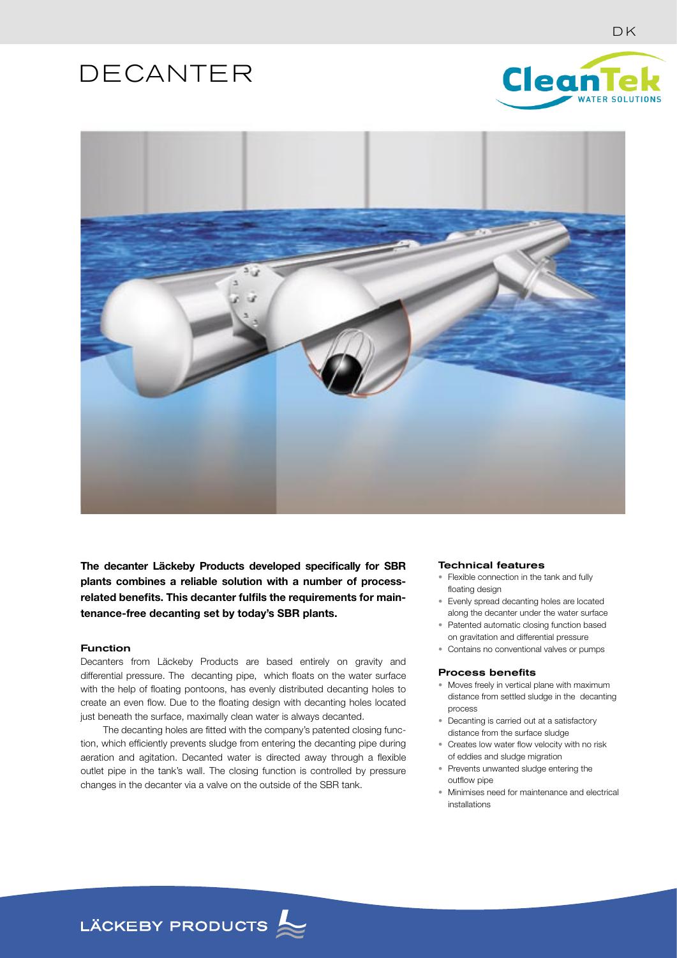# DECANTER





**The decanter Läckeby Products developed specifically for SBR plants combines a reliable solution with a number of processrelated benefits. This decanter fulfils the requirements for maintenance-free decanting set by today's SBR plants.**

## Function

Decanters from Läckeby Products are based entirely on gravity and differential pressure. The decanting pipe, which floats on the water surface with the help of floating pontoons, has evenly distributed decanting holes to create an even flow. Due to the floating design with decanting holes located just beneath the surface, maximally clean water is always decanted.

 The decanting holes are fitted with the company's patented closing function, which efficiently prevents sludge from entering the decanting pipe during aeration and agitation. Decanted water is directed away through a flexible outlet pipe in the tank's wall. The closing function is controlled by pressure changes in the decanter via a valve on the outside of the SBR tank.

#### Technical features

- Flexible connection in the tank and fully floating design
- Evenly spread decanting holes are located along the decanter under the water surface
- Patented automatic closing function based on gravitation and differential pressure
- Contains no conventional valves or pumps

#### Process benefits

- Moves freely in vertical plane with maximum distance from settled sludge in the decanting process
- Decanting is carried out at a satisfactory distance from the surface sludge
- Creates low water flow velocity with no risk of eddies and sludge migration
- Prevents unwanted sludge entering the outflow pipe
- Minimises need for maintenance and electrical installations